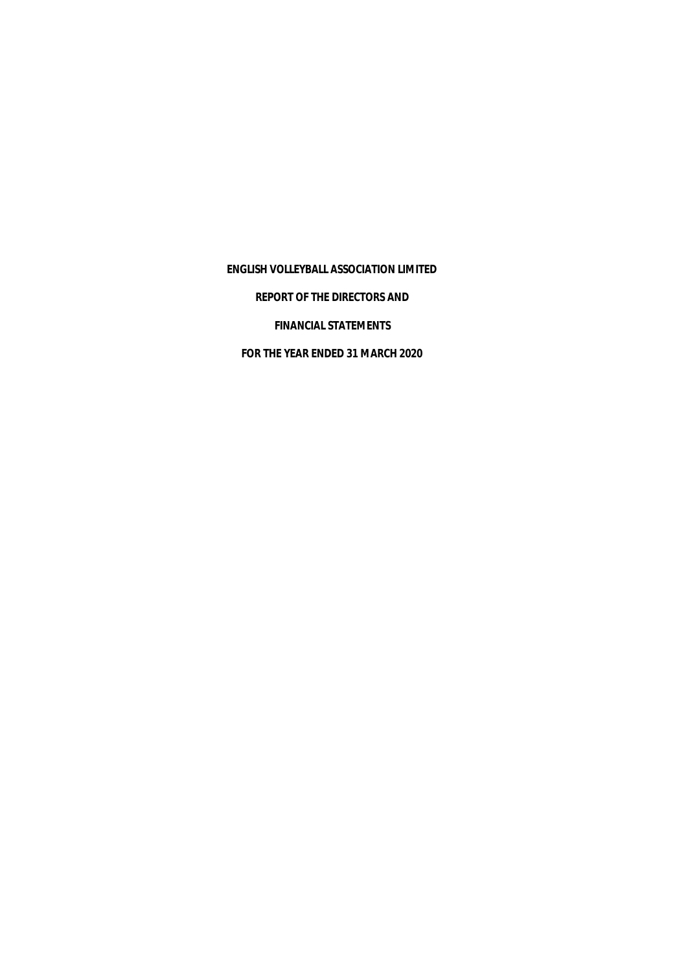**REPORT OF THE DIRECTORS AND**

**FINANCIAL STATEMENTS**

**FOR THE YEAR ENDED 31 MARCH 2020**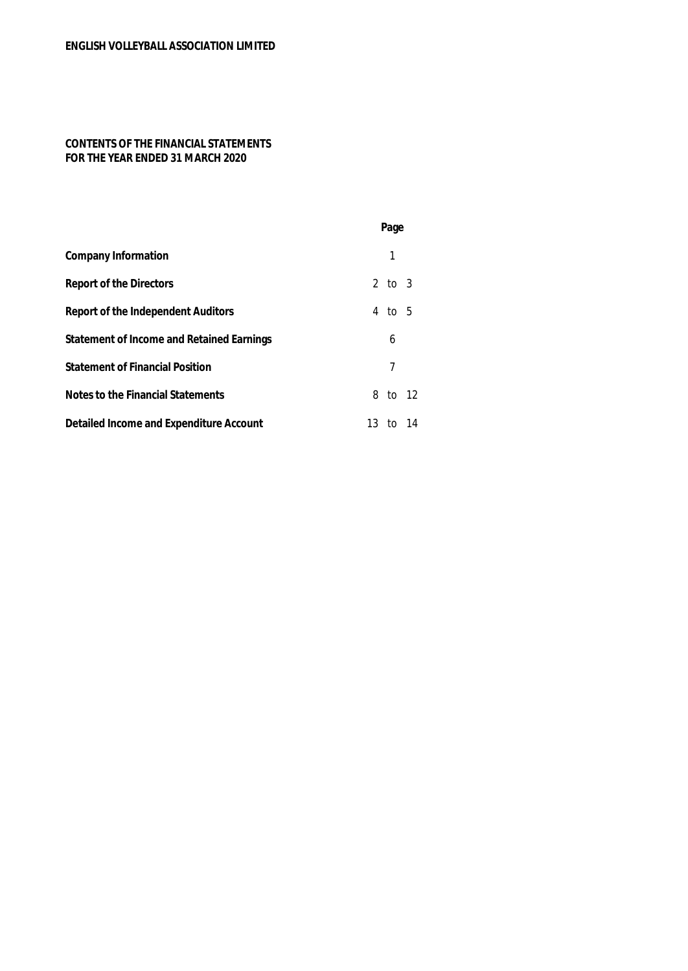## **CONTENTS OF THE FINANCIAL STATEMENTS FOR THE YEAR ENDED 31 MARCH 2020**

|                                                  | Page            |
|--------------------------------------------------|-----------------|
| <b>Company Information</b>                       | 1               |
| <b>Report of the Directors</b>                   | 2 to 3          |
| <b>Report of the Independent Auditors</b>        | 4 to 5          |
| <b>Statement of Income and Retained Earnings</b> | 6               |
| <b>Statement of Financial Position</b>           | 7               |
| <b>Notes to the Financial Statements</b>         | 8 to 12         |
| <b>Detailed Income and Expenditure Account</b>   | <b>13</b> to 14 |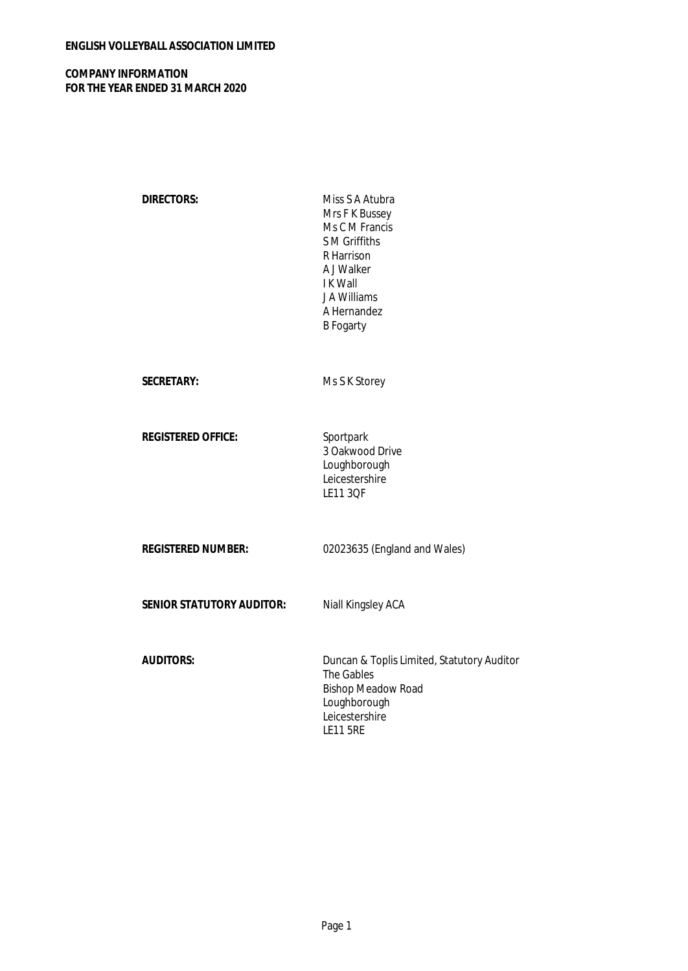## **COMPANY INFORMATION FOR THE YEAR ENDED 31 MARCH 2020**

**DIRECTORS:** Miss S A Atubra Mrs F K Bussey Ms C M Francis S M Griffiths R Harrison A J Walker I K Wall J A Williams A Hernandez B Fogarty

**SECRETARY:** Ms S K Storey

**REGISTERED OFFICE:** Sportpark

3 Oakwood Drive Loughborough **Leicestershire** LE11 3QF

**REGISTERED NUMBER:** 02023635 (England and Wales)

**SENIOR STATUTORY AUDITOR:** Niall Kingsley ACA

**AUDITORS:** Duncan & Toplis Limited, Statutory Auditor The Gables Bishop Meadow Road Loughborough **Leicestershire** LE11 5RE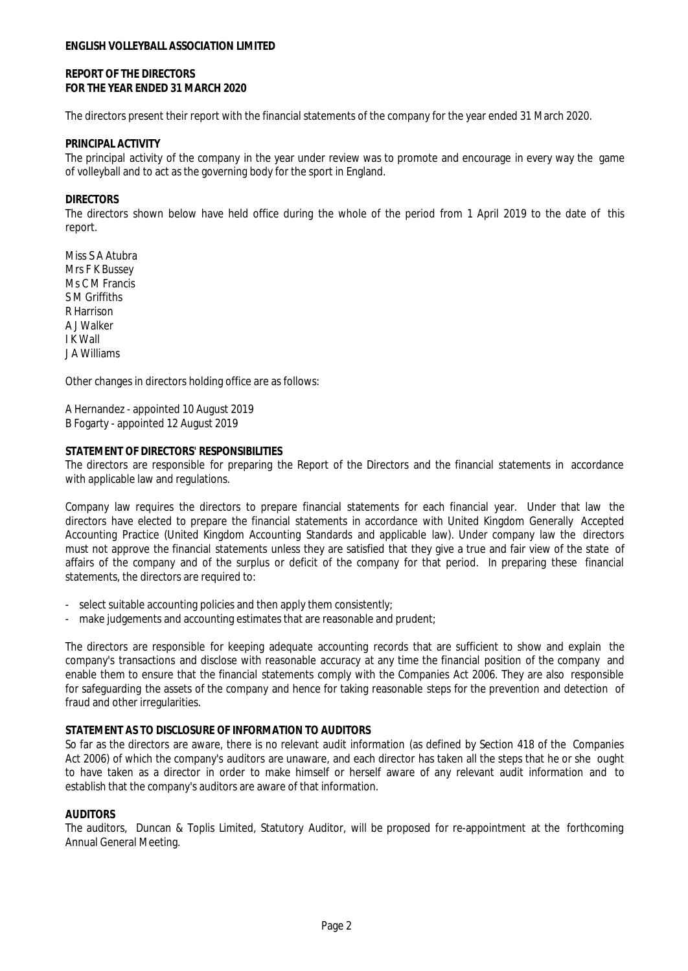### **REPORT OF THE DIRECTORS FOR THE YEAR ENDED 31 MARCH 2020**

The directors present their report with the financial statements of the company for the year ended 31 March 2020.

## **PRINCIPAL ACTIVITY**

The principal activity of the company in the year under review was to promote and encourage in every way the game of volleyball and to act as the governing body for the sport in England.

### **DIRECTORS**

The directors shown below have held office during the whole of the period from 1 April 2019to the date of this report.

Miss S A Atubra Mrs F K Bussey Ms C M Francis S M Griffiths R Harrison A J Walker I K Wall J A Williams

Other changes in directors holding office are as follows:

A Hernandez - appointed 10 August 2019 B Fogarty - appointed 12 August 2019

#### **STATEMENT OF DIRECTORS' RESPONSIBILITIES**

The directors are responsible for preparing the Report of the Directors and the financial statements in accordance with applicable law and regulations.

Company law requires the directors to prepare financial statements for each financial year. Under that law the directors have elected to prepare the financial statements in accordance with United Kingdom Generally Accepted Accounting Practice (United Kingdom Accounting Standards and applicable law). Under company law the directors must not approve the financial statements unless they are satisfied that they give a true and fair view of the state of affairs of the company and of the surplus or deficit of the company for that period. In preparing these financial statements, the directors are required to:<br>- select suitable accounting policies and then apply them consistently;<br>- make judgements and accounting estimates that are reasonable and prudent;

- 
- 

The directors are responsible for keeping adequate accounting records that are sufficient to show and explain the company's transactions and disclose with reasonable accuracy at any time the financial position of the company and enable them to ensure that the financial statements comply with the Companies Act 2006. They are also responsible for safeguarding the assets of the company and hence for taking reasonable steps for the prevention and detection of fraud and other irregularities.

### **STATEMENT AS TO DISCLOSURE OF INFORMATION TO AUDITORS**

So far as the directors are aware, there is no relevant audit information (as defined by Section 418 of the Companies Act 2006) of which the company's auditors are unaware, and each director has taken all the steps that he or she ought to have taken as a director in order to make himself or herself aware of any relevant audit information and to establish that the company's auditors are aware of that information.

#### **AUDITORS**

The auditors, Duncan & Toplis Limited, Statutory Auditor, will be proposed for re-appointment at the forthcoming Annual General Meeting.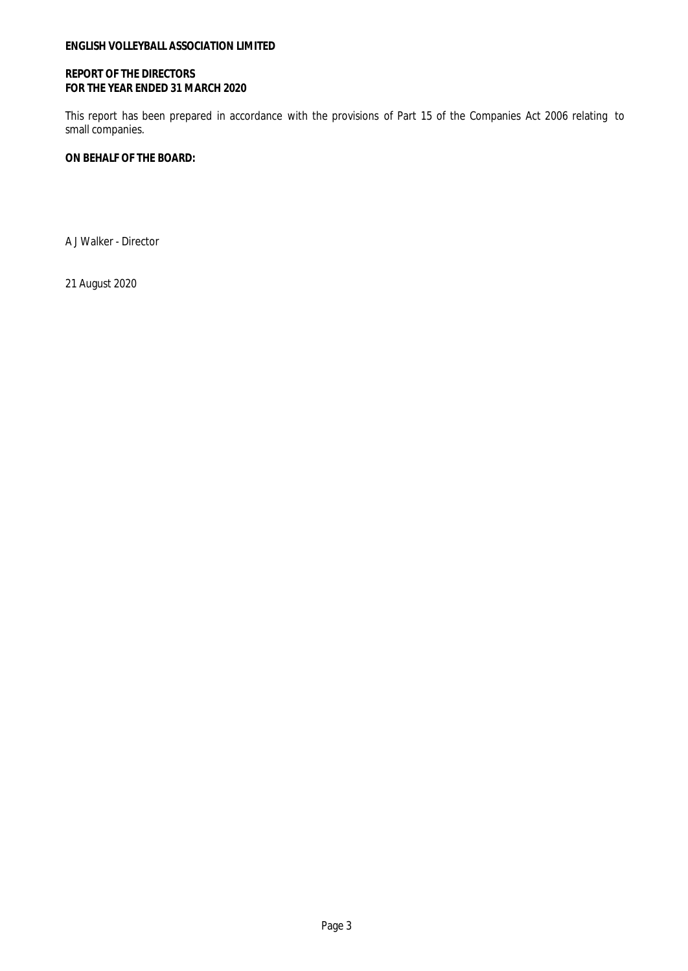# **REPORT OF THE DIRECTORS FOR THE YEAR ENDED 31 MARCH 2020**

This report has been prepared in accordance with the provisions of Part 15 of the Companies Act 2006 relating to small companies.

**ON BEHALF OF THE BOARD:**

A J Walker - Director

21 August 2020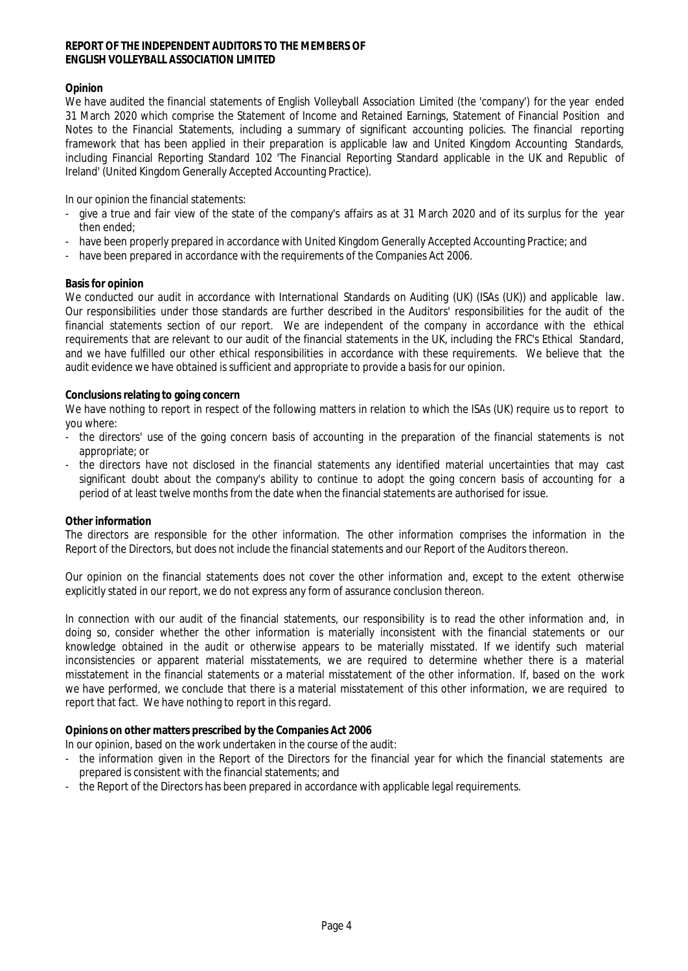### **REPORT OF THE INDEPENDENT AUDITORS TO THE MEMBERS OF ENGLISH VOLLEYBALL ASSOCIATION LIMITED**

### **Opinion**

We have audited the financial statements of English Volleyball Association Limited (the 'company') for the year ended 31 March 2020 which comprise the Statement of Income and Retained Earnings, Statement of Financial Position and Notes to the Financial Statements, including a summary of significant accounting policies. The financial reporting framework that has been applied in their preparation is applicable law and United Kingdom Accounting Standards, including Financial Reporting Standard 102 'The Financial Reporting Standard applicable in the UK and Republic of Ireland' (United Kingdom Generally Accepted Accounting Practice).

In our opinion the financial statements:

- give a true and fair view of the state of the company's affairs as at31 March 2020 and of its surplus for the year
- then ended;<br>- have been properly prepared in accordance with United Kingdom Generally Accepted Accounting Practice; and<br>- have been prepared in accordance with the requirements of the Companies Act 2006.
- 

### **Basis for opinion**

We conducted our audit in accordance with International Standards on Auditing (UK) (ISAs (UK)) and applicable law. Our responsibilities under those standards are further described in the Auditors' responsibilities for the audit of the financial statements section of our report. We are independent of the company in accordance with the ethical requirements that are relevant to our audit of the financial statements in the UK, including the FRC's Ethical Standard, and we have fulfilled our other ethical responsibilities in accordance with these requirements. We believe that the audit evidence we have obtained is sufficient and appropriate to provide a basis for our opinion.

**Conclusions relating to going concern**

We have nothing to report in respect of the following matters in relation to which the ISAs (UK) require us to report to

- you where:<br>- the directors' use of the going concern basis of accounting in the preparation of the financial statements is not
- appropriate; or<br>- the directors have not disclosed in the financial statements any identified material uncertainties that may cast significant doubt about the company's ability to continue to adopt the going concern basis of accounting for a period of at least twelve months from the date when the financial statements are authorised for issue.

### **Other information**

The directors are responsible for the other information. The other information comprises the information in the Report of the Directors, but does not include the financial statements and our Report of the Auditors thereon.

Our opinion on the financial statements does not cover the other information and, except to the extent otherwise explicitly stated in our report, we do not express any form of assurance conclusion thereon.

In connection with our audit of the financial statements, our responsibility is to read the other information and, in doing so, consider whether the other information is materially inconsistent with the financial statements or our knowledge obtained in the audit or otherwise appears to be materially misstated. If we identify such material inconsistencies or apparent material misstatements, we are required to determine whether there is a material misstatement in the financial statements or a material misstatement of the other information. If, based on the work we have performed, we conclude that there is a material misstatement of this other information, we are required to report that fact. We have nothing to report in this regard.

**Opinions on other matters prescribed by the Companies Act 2006**

In our opinion, based on the work undertaken in the course of the audit:

- the information given in the Report of the Directors for the financial year for which the financial statements are prepared is consistent with the financial statements; and - the Report of the Directors has been prepared in accordance with applicable legal requirements.
-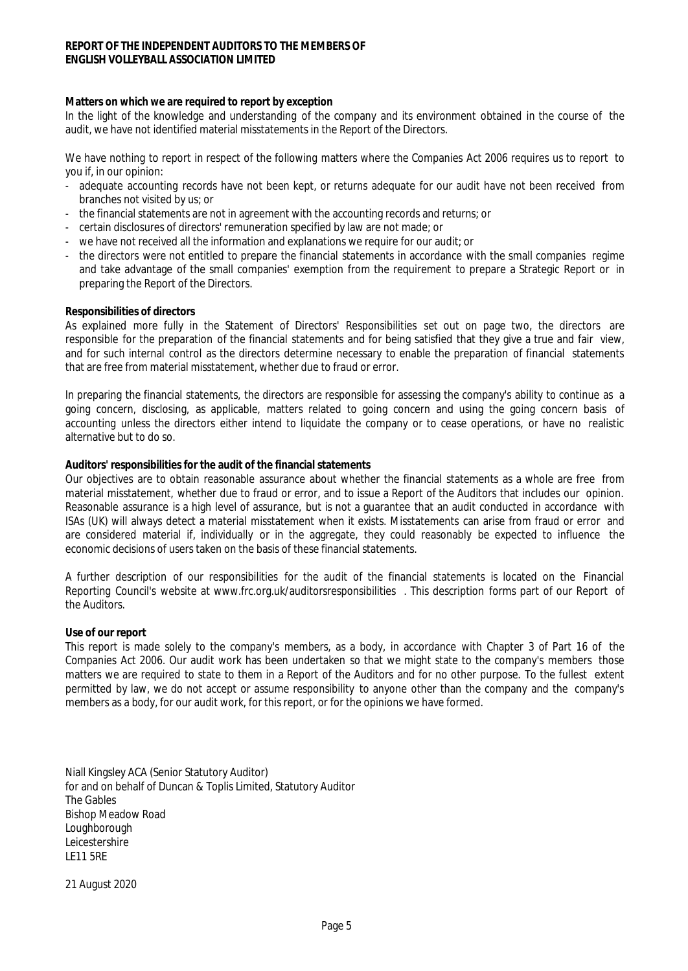### **Matters on which we are required to report by exception**

In the light of the knowledge and understanding of the company and its environment obtained in the course of the audit, we have not identified material misstatements in the Report of the Directors.

We have nothing to report in respect of the following matters where the Companies Act 2006 requires us to report to

- you if, in our opinion:<br>- adequate accounting records have not been kept, or returns adequate for our audit have not been received from
- 
- 
- 
- branches not visited by us; or<br>• the financial statements are not in agreement with the accounting records and returns; or<br>• certain disclosures of directors' remuneration specified by law are not made; or<br>• we have not re and take advantage of the small companies' exemption from the requirement to prepare a Strategic Report or in preparing the Report of the Directors.

#### **Responsibilities of directors**

As explained more fully in the Statement of Directors' Responsibilities set out on page two, the directors are responsible for the preparation of the financial statements and for being satisfied that they give a true and fair view, and for such internal control as the directors determine necessary to enable the preparation of financial statements that are free from material misstatement, whether due to fraud or error.

In preparing the financial statements, the directors are responsible for assessing the company's ability to continue as a going concern, disclosing, as applicable, matters related to going concern and using the going concern basis of accounting unless the directors either intend to liquidate the company or to cease operations, or have no realistic alternative but to do so.

#### **Auditors' responsibilities for the audit of the financial statements**

Our objectives are to obtain reasonable assurance about whether the financial statements as a whole are free from material misstatement, whether due to fraud or error, and to issue a Report of the Auditors that includes our opinion. Reasonable assurance is a high level of assurance, but is not a guarantee that an audit conducted in accordance with ISAs (UK) will always detect a material misstatement when it exists. Misstatements can arise from fraud or error and are considered material if, individually or in the aggregate, they could reasonably be expected to influence the economic decisions of users taken on the basis of these financial statements.

A further description of our responsibilities for the audit of the financial statements is located on the Financial Reporting Council's website at www.frc.org.uk/auditorsresponsibilities . This description forms part of our Report of the Auditors.

#### **Use of our report**

This report is made solely to the company's members, as a body, in accordance with Chapter 3 of Part 16 of the Companies Act 2006. Our audit work has been undertaken so that we might state to the company's members those matters we are required to state to them in a Report of the Auditors and for no other purpose. To the fullest extent permitted bylaw, we do not accept or assume responsibility to anyone other than the company and the company's members as a body, for our audit work, for this report, or for the opinions we have formed.

Niall Kingsley ACA (Senior Statutory Auditor) for and on behalf of Duncan & Toplis Limited, Statutory Auditor The Gables Bishop Meadow Road Loughborough **Leicestershire** LE11 5RE

21 August 2020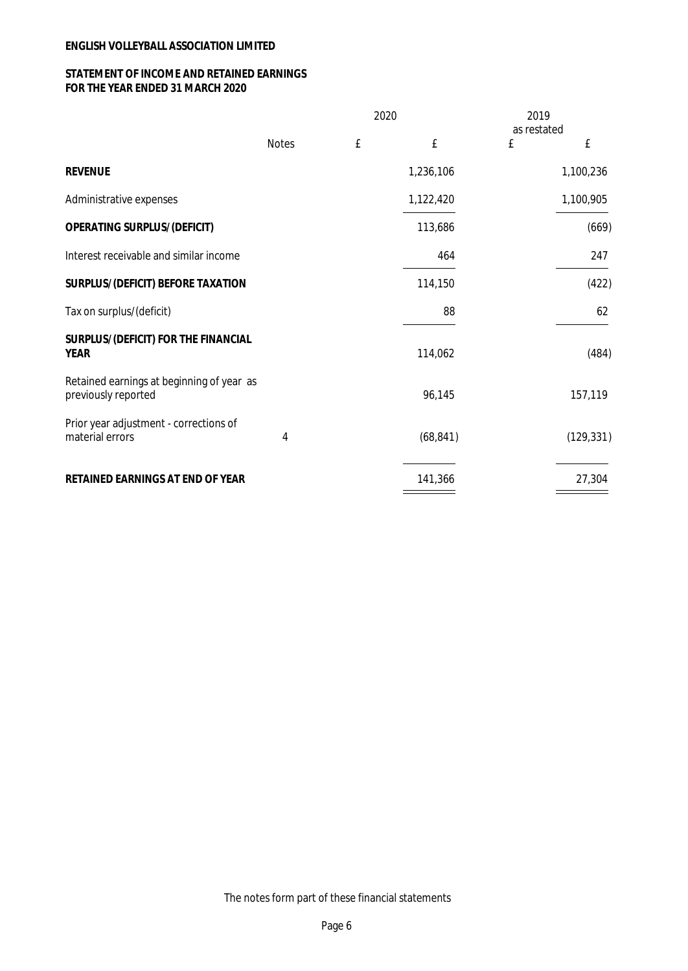## **STATEMENT OF INCOME AND RETAINED EARNINGS FOR THE YEAR ENDED 31 MARCH 2020**

|                                                                  |              | 2020 |           | 2019<br>as restated |            |
|------------------------------------------------------------------|--------------|------|-----------|---------------------|------------|
|                                                                  | <b>Notes</b> | £    | £         | £                   | £          |
| <b>REVENUE</b>                                                   |              |      | 1,236,106 |                     | 1,100,236  |
| <b>Administrative expenses</b>                                   |              |      | 1,122,420 |                     | 1,100,905  |
| <b>OPERATING SURPLUS/(DEFICIT)</b>                               |              |      | 113,686   |                     | (669)      |
| Interest receivable and similar income                           |              |      | 464       |                     | 247        |
| <b>SURPLUS/(DEFICIT) BEFORE TAXATION</b>                         |              |      | 114,150   |                     | (422)      |
| Tax on surplus/(deficit)                                         |              |      | 88        |                     | 62         |
| <b>SURPLUS/(DEFICIT) FOR THE FINANCIAL</b><br><b>YEAR</b>        |              |      | 114,062   |                     | (484)      |
| Retained earnings at beginning of year as<br>previously reported |              |      | 96,145    |                     | 157,119    |
| Prior year adjustment - corrections of<br>material errors        | 4            |      | (68, 841) |                     | (129, 331) |
| <b>RETAINED EARNINGS AT END OF YEAR</b>                          |              |      | 141,366   |                     | 27,304     |
|                                                                  |              |      |           |                     |            |

The notes form part of these financial statements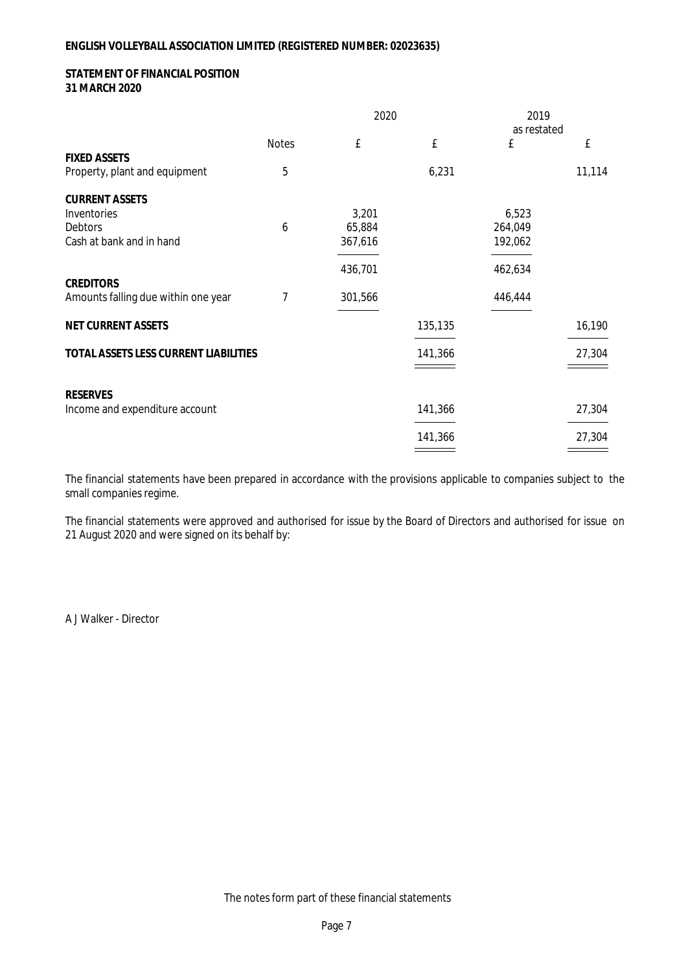# **ENGLISH VOLLEYBALL ASSOCIATION LIMITED (REGISTERED NUMBER: 02023635)**

### **STATEMENT OF FINANCIAL POSITION 31 MARCH 2020**

|                                              |              | 2020    |         | 2019<br>as restated |        |
|----------------------------------------------|--------------|---------|---------|---------------------|--------|
|                                              | <b>Notes</b> | £       | £       | £                   | £      |
| <b>FIXED ASSETS</b>                          |              |         |         |                     |        |
| <b>Property, plant and equipment</b>         | 5            |         | 6,231   |                     | 11,114 |
| <b>CURRENT ASSETS</b>                        |              |         |         |                     |        |
| <b>Inventories</b>                           |              | 3,201   |         | 6,523               |        |
| <b>Debtors</b>                               | 6            | 65,884  |         | 264,049             |        |
| <b>Cash at bank and in hand</b>              |              | 367,616 |         | 192,062             |        |
|                                              |              | 436,701 |         | 462,634             |        |
| <b>CREDITORS</b>                             |              |         |         |                     |        |
| Amounts falling due within one year          | 7            | 301,566 |         | 446,444             |        |
| <b>NET CURRENT ASSETS</b>                    |              |         | 135,135 |                     | 16,190 |
| <b>TOTAL ASSETS LESS CURRENT LIABILITIES</b> |              |         | 141,366 |                     | 27,304 |
|                                              |              |         |         |                     |        |
| <b>RESERVES</b>                              |              |         |         |                     |        |
| Income and expenditure account               |              |         | 141,366 |                     | 27,304 |
|                                              |              |         | 141,366 |                     | 27,304 |

The financial statements have been prepared in accordance with the provisions applicable to companies subject to the small companies regime.

The financial statements were approved and authorised for issue by the Board of Directors and authorised for issue on 21 August 2020 and were signed on its behalf by:

A J Walker - Director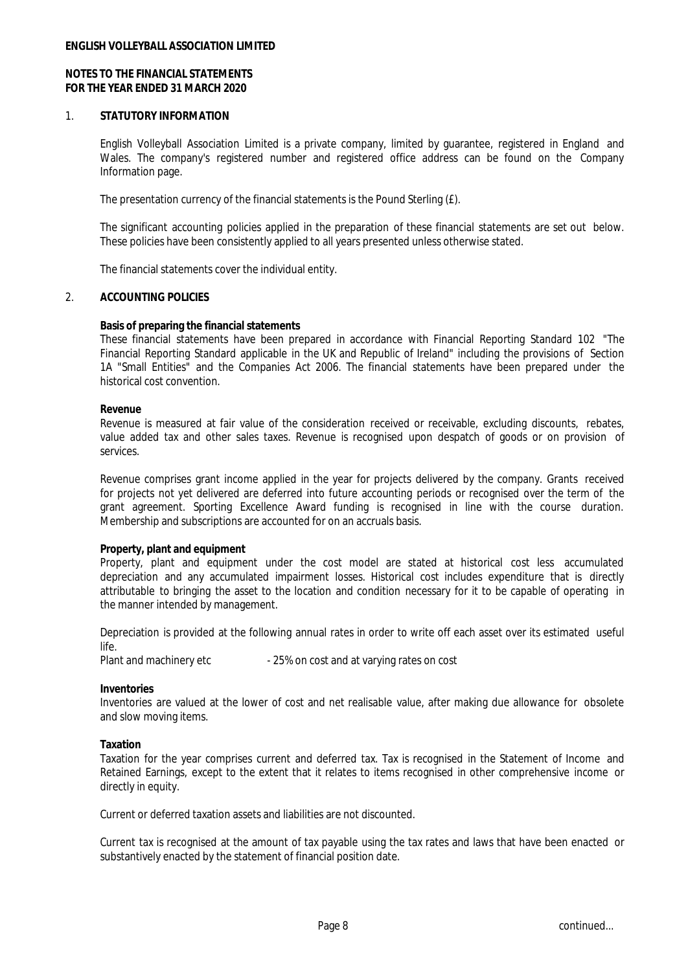### **NOTES TO THE FINANCIAL STATEMENTS FOR THE YEAR ENDED 31 MARCH 2020**

#### 1. **STATUTORY INFORMATION**

English Volleyball Association Limited is a private company, limited byguarantee, registered in England and Wales. The company's registered number and registered office address can be found on the Company Information page.

The presentation currency of the financial statements is the Pound Sterling (£).

The significant accounting policies applied in the preparation of these financial statements are set out below. These policies have been consistently applied to all years presented unless otherwise stated.

The financial statements cover the individual entity.

### 2. **ACCOUNTING POLICIES**

**Basis of preparing the financial statements**

These financial statements have been prepared in accordance with Financial Reporting Standard 102 "The Financial Reporting Standard applicable in the UK and Republic of Ireland" including the provisions of Section 1A "Small Entities" and the Companies Act 2006. The financial statements have been prepared under the historical cost convention.

#### **Revenue**

Revenue is measured at fair value of the consideration received or receivable, excluding discounts, rebates, value added tax and other sales taxes. Revenue is recognised upon despatch of goods or on provision of services.

Revenue comprises grant income applied in the year for projects delivered by the company. Grants received for projects not yet delivered are deferred into future accounting periods or recognised over the term of the grant agreement. Sporting Excellence Award funding is recognised in line with the course duration. Membership and subscriptions are accounted for on an accruals basis.

#### **Property, plant and equipment**

Property, plant and equipment under the cost model are stated at historical cost less accumulated depreciation and any accumulated impairment losses. Historical cost includes expenditure that is directly attributable to bringing the asset to the location and condition necessary for it to be capable of operating in the manner intended by management.

Depreciation is provided at the following annual rates in order to write off each asset over its estimated useful life.

Plant and machinery etc - 25% on cost and at varying rates on cost

#### **Inventories**

Inventories are valued at the lower of cost and net realisable value, after making due allowance for obsolete and slow moving items.

**Taxation**

Taxation for the year comprises current and deferred tax. Tax is recognised in the Statement of Income and Retained Earnings, except to the extent that it relates to itemsrecognised in other comprehensive income or directly in equity.

Current or deferred taxation assets and liabilities are not discounted.

Current tax is recognised at the amount of tax payable using the tax rates and laws that have been enacted or substantively enacted by the statement of financial position date.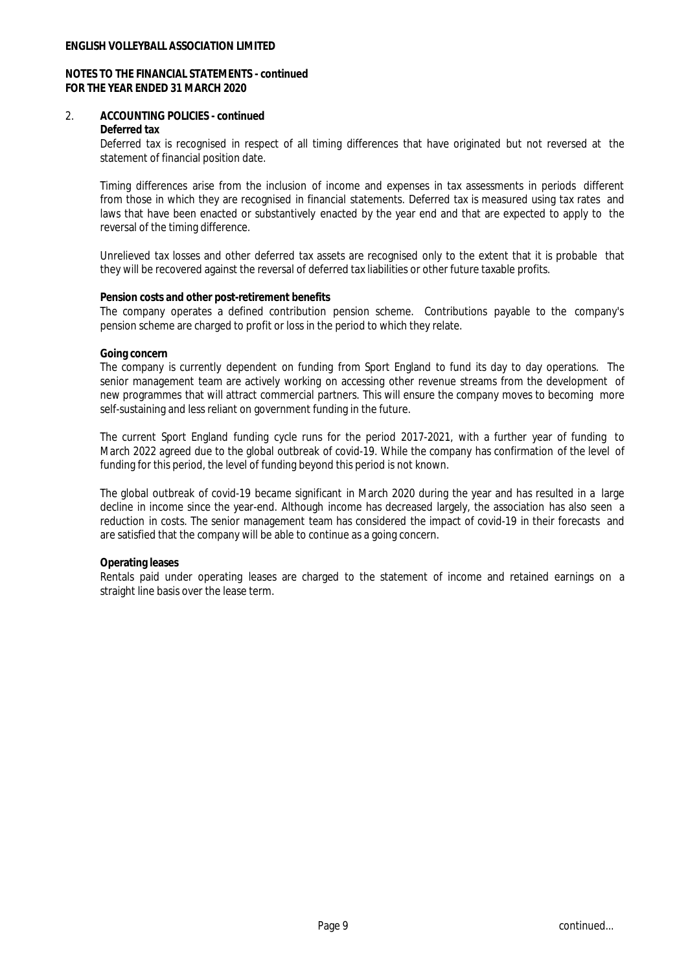### **NOTES TO THE FINANCIAL STATEMENTS - continued FOR THE YEAR ENDED 31 MARCH 2020**

#### 2. **ACCOUNTING POLICIES - continued**

#### **Deferred tax**

Deferred tax is recognised in respect of all timing differences that have originated but not reversed at the statement of financial position date.

Timing differences arise from the inclusion of income and expenses in tax assessments in periods different from those in which they are recognised in financial statements. Deferred tax is measured using tax rates and laws that have been enacted or substantively enacted by the year end and that are expected to apply to the reversal of the timing difference.

Unrelieved tax losses and other deferred tax assets are recognised only to the extent that it is probable that they will be recovered against the reversal of deferred tax liabilities or other future taxable profits.

#### **Pension costs and other post-retirement benefits**

The company operates a defined contribution pension scheme. Contributions payable to the company's pension scheme are charged to profit or loss in the period to which they relate.

#### **Going concern**

The company is currently dependent on funding from Sport England to fund its day to day operations. The senior management team are actively working on accessing other revenue streams from the development of new programmes thatwill attract commercial partners. This will ensure the company moves to becoming more self-sustaining and less reliant on government funding in the future.

The current Sport England funding cycle runs for the period 2017-2021, with a further year of funding to March 2022 agreed due to the global outbreak of covid-19. While the company has confirmation of the level of funding for this period, the level of funding beyond this period is not known.

The global outbreak of covid-19 became significant in March 2020 during the year and has resulted in a large decline in income since the year-end. Although income has decreased largely, the association has also seen a reduction in costs. The senior management team has considered the impact of covid-19 in their forecasts and are satisfied that the company will be able to continue as a going concern.

### **Operating leases**

Rentals paid under operating leases are charged to the statement of income and retained earnings on a straight line basis over the lease term.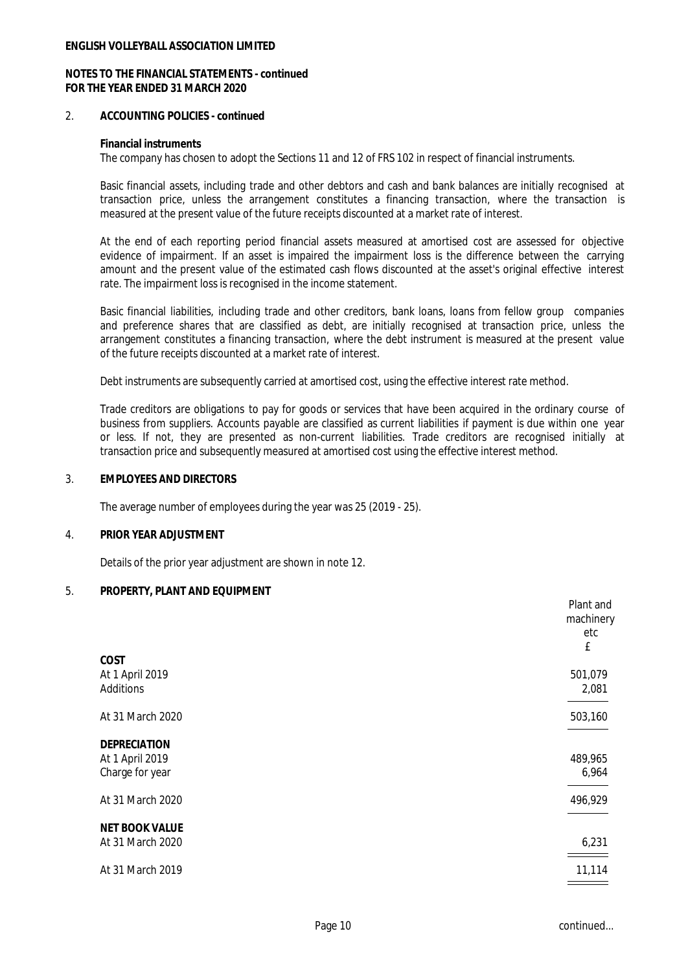### **NOTES TO THE FINANCIAL STATEMENTS - continued FOR THE YEAR ENDED 31 MARCH 2020**

#### 2. **ACCOUNTING POLICIES - continued**

### **Financial instruments**

The company has chosen to adopt the Sections 11 and 12 of FRS 102 in respect of financial instruments.

Basic financial assets, including trade and other debtors and cash and bank balances are initially recognised at transaction price, unless the arrangement constitutes a financing transaction, where the transaction is measured at the present value of the future receipts discounted at a market rate of interest.

At the end of each reporting period financial assets measured at amortised cost are assessed for objective evidence of impairment. If an asset is impaired the impairment loss is the difference between the carrying amount and the present value of the estimated cash flows discounted at the asset's original effective interest rate. The impairment loss is recognised in the income statement.

Basic financial liabilities, including trade and other creditors, bank loans, loans from fellow group companies and preference shares that are classified as debt, are initially recognised at transaction price, unless the arrangement constitutes a financing transaction, where the debt instrument is measured at the present value of the future receipts discounted at a market rate of interest.

Debt instruments are subsequently carried at amortised cost, using the effective interest rate method.

Trade creditors are obligations to pay for goods or services that have been acquired in the ordinary course of business from suppliers. Accounts payable are classified as current liabilities if payment is due within one year or less. If not, they are presented as non-current liabilities. Trade creditors are recognised initially at transaction price and subsequently measured at amortised cost using the effective interest method.

#### 3. **EMPLOYEES AND DIRECTORS**

The average number of employees during the year was 25 (2019 - 25).

#### 4. **PRIOR YEAR ADJUSTMENT**

Details of the prior year adjustment are shown in note 12.

#### 5. **PROPERTY, PLANT AND EQUIPMENT**

|                         | <b>Plant and</b> |
|-------------------------|------------------|
|                         | machinery        |
|                         | etc              |
|                         | £                |
| <b>COST</b>             |                  |
| <b>At 1 April 2019</b>  | 501,079          |
| <b>Additions</b>        | 2,081            |
| <b>At 31 March 2020</b> | 503,160          |
| <b>DEPRECIATION</b>     |                  |
| <b>At 1 April 2019</b>  | 489,965          |
| <b>Charge for year</b>  | 6,964            |
| <b>At 31 March 2020</b> | 496,929          |
| <b>NET BOOK VALUE</b>   |                  |
| <b>At 31 March 2020</b> | 6,231            |
| <b>At 31 March 2019</b> |                  |
|                         | 11,114           |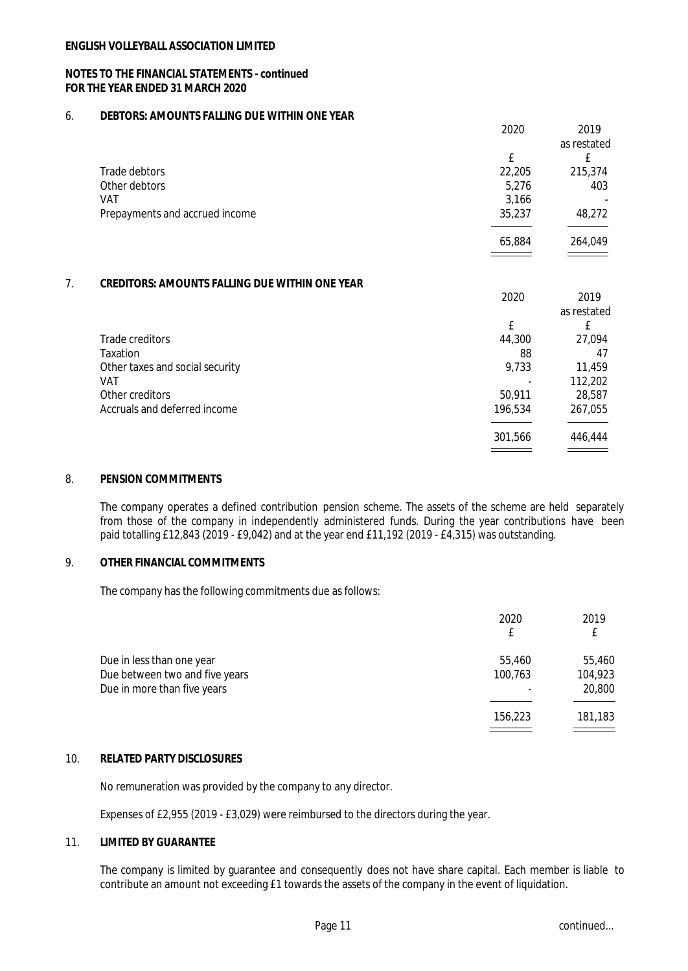### **NOTES TO THE FINANCIAL STATEMENTS - continued FOR THE YEAR ENDED 31 MARCH 2020**

## 6. **DEBTORS: AMOUNTS FALLING DUE WITHIN ONE YEAR**

|    |                                                       | 2020    | 2019        |
|----|-------------------------------------------------------|---------|-------------|
|    |                                                       |         | as restated |
|    |                                                       | £       | £           |
|    | <b>Trade debtors</b>                                  | 22,205  | 215,374     |
|    | <b>Other debtors</b>                                  | 5,276   | 403         |
|    | <b>VAT</b>                                            | 3,166   |             |
|    | <b>Prepayments and accrued income</b>                 | 35,237  | 48,272      |
|    |                                                       | 65,884  | 264,049     |
| 7. | <b>CREDITORS: AMOUNTS FALLING DUE WITHIN ONE YEAR</b> |         |             |
|    |                                                       | 2020    | 2019        |
|    |                                                       |         | as restated |
|    |                                                       | £       | £           |
|    | <b>Trade creditors</b>                                | 44,300  | 27,094      |
|    | <b>Taxation</b>                                       | 88      | 47          |
|    | <b>Other taxes and social security</b>                | 9,733   | 11,459      |
|    | <b>VAT</b>                                            |         | 112,202     |
|    | <b>Other creditors</b>                                | 50,911  | 28,587      |
|    | <b>Accruals and deferred income</b>                   | 196,534 | 267,055     |
|    |                                                       | 301,566 | 446,444     |
|    |                                                       |         |             |

## 8. **PENSION COMMITMENTS**

The company operates a defined contribution pension scheme. The assets of the scheme are held separately from those of the company in independently administered funds. During the year contributions have been paid totalling £12,843 (2019 - £9,042) and at the year end £11,192 (2019 - £4,315) was outstanding.

### 9. **OTHER FINANCIAL COMMITMENTS**

The company has the following commitments due as follows:

|                                | 2020           | 2019    |
|--------------------------------|----------------|---------|
|                                | £              | £       |
| Due in less than one year      | 55,460         | 55,460  |
| Due between two and five years | 100,763        | 104,923 |
| Due in more than five years    | $\blacksquare$ | 20,800  |
|                                | 156,223        | 181,183 |
|                                |                |         |

## 10. **RELATED PARTY DISCLOSURES**

No remuneration was provided by the company to any director.

Expenses of £2,955 (2019 - £3,029) were reimbursed to the directors during the year.

### 11. **LIMITED BY GUARANTEE**

The company is limited by quarantee and consequently does not have share capital. Each member is liable to contribute an amount not exceeding £1 towards the assets of the company in the event of liquidation.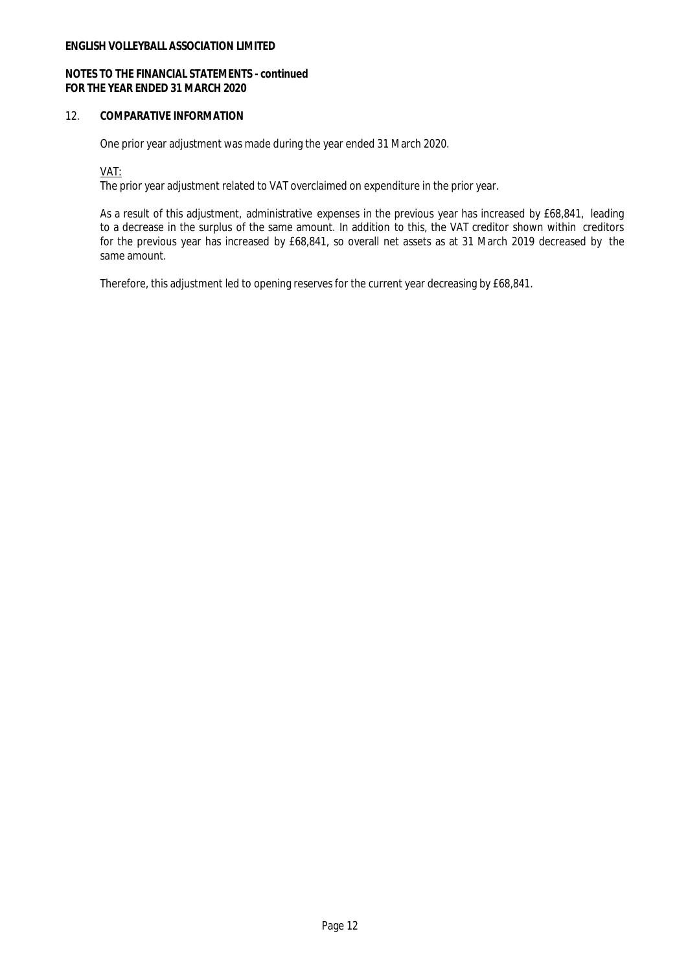### **NOTES TO THE FINANCIAL STATEMENTS - continued FOR THE YEAR ENDED 31 MARCH 2020**

### 12. **COMPARATIVE INFORMATION**

One prior year adjustment was made during the year ended 31 March 2020.

VAT:

The prior year adjustment related to VAT overclaimed on expenditure in the prior year.

As a result of this adjustment, administrative expenses in the previous year has increased by £68,841, leading to a decrease in the surplus of the same amount. In addition to this, the VAT creditor shown within creditors for the previous year has increased by £68,841, so overall net assets as at 31 March 2019 decreased by the same amount.

Therefore, this adjustment led to opening reserves for the current year decreasing by £68,841.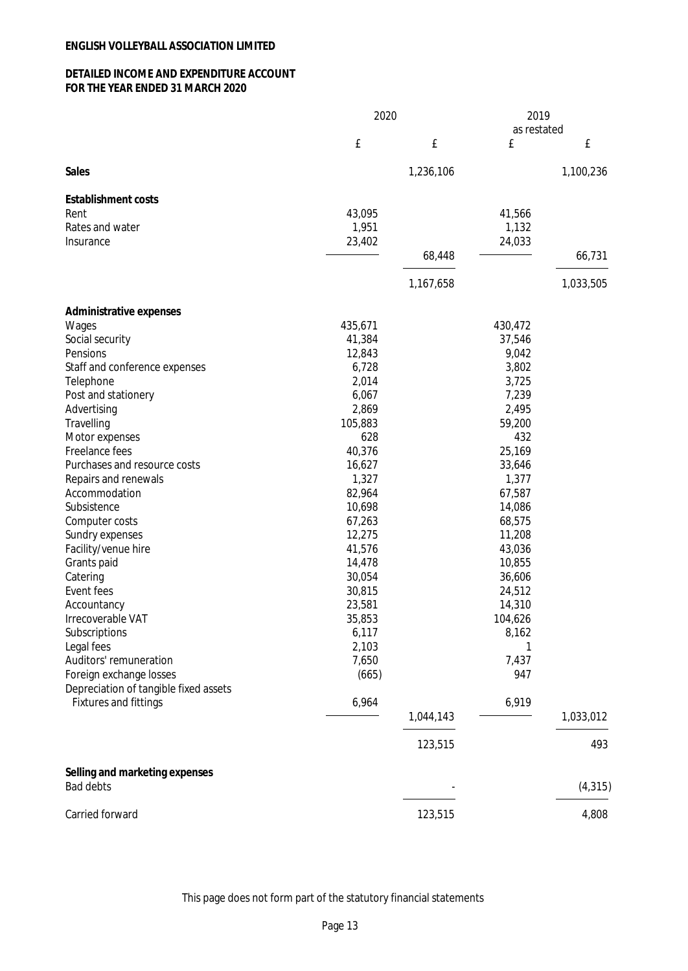# **DETAILED INCOME AND EXPENDITURE ACCOUNT FOR THE YEAR ENDED 31 MARCH 2020**

|                                              | 2020    |           | 2019<br>as restated |           |  |
|----------------------------------------------|---------|-----------|---------------------|-----------|--|
|                                              | £       | £         | £                   | £         |  |
| <b>Sales</b>                                 |         | 1,236,106 |                     | 1,100,236 |  |
| <b>Establishment costs</b>                   |         |           |                     |           |  |
| <b>Rent</b>                                  | 43,095  |           | 41,566              |           |  |
| <b>Rates and water</b>                       | 1,951   |           | 1,132               |           |  |
| <b>Insurance</b>                             | 23,402  |           | 24,033              |           |  |
|                                              |         | 68,448    |                     | 66,731    |  |
|                                              |         | 1,167,658 |                     | 1,033,505 |  |
| <b>Administrative expenses</b>               |         |           |                     |           |  |
| <b>Wages</b>                                 | 435,671 |           | 430,472             |           |  |
| <b>Social security</b>                       | 41,384  |           | 37,546              |           |  |
| <b>Pensions</b>                              | 12,843  |           | 9,042               |           |  |
| <b>Staff and conference expenses</b>         | 6,728   |           | 3,802               |           |  |
| <b>Telephone</b>                             | 2,014   |           | 3,725               |           |  |
| <b>Post and stationery</b>                   | 6,067   |           | 7,239               |           |  |
| <b>Advertising</b>                           | 2,869   |           | 2,495               |           |  |
| <b>Travelling</b>                            | 105,883 |           | 59,200              |           |  |
| <b>Motor expenses</b>                        | 628     |           | 432                 |           |  |
| <b>Freelance fees</b>                        | 40,376  |           | 25,169              |           |  |
| <b>Purchases and resource costs</b>          | 16,627  |           | 33,646              |           |  |
| <b>Repairs and renewals</b>                  | 1,327   |           | 1,377               |           |  |
| <b>Accommodation</b>                         | 82,964  |           | 67,587              |           |  |
| <b>Subsistence</b>                           | 10,698  |           | 14,086              |           |  |
| <b>Computer costs</b>                        | 67,263  |           | 68,575              |           |  |
| <b>Sundry expenses</b>                       | 12,275  |           | 11,208              |           |  |
| <b>Facility/venue hire</b>                   | 41,576  |           | 43,036              |           |  |
| <b>Grants paid</b>                           | 14,478  |           | 10,855              |           |  |
| <b>Catering</b>                              | 30,054  |           | 36,606              |           |  |
| <b>Event fees</b>                            | 30,815  |           | 24,512              |           |  |
| <b>Accountancy</b>                           | 23,581  |           | 14,310              |           |  |
| <b>Irrecoverable VAT</b>                     | 35,853  |           | 104,626             |           |  |
| <b>Subscriptions</b>                         | 6,117   |           | 8,162               |           |  |
| <b>Legal fees</b>                            | 2,103   |           | 1                   |           |  |
| <b>Auditors' remuneration</b>                | 7,650   |           | 7,437               |           |  |
| <b>Foreign exchange losses</b>               | (665)   |           | 947                 |           |  |
| <b>Depreciation of tangible fixed assets</b> |         |           |                     |           |  |
| <b>Fixtures and fittings</b>                 | 6,964   |           | 6,919               |           |  |
|                                              |         | 1,044,143 |                     | 1,033,012 |  |
|                                              |         | 123,515   |                     | 493       |  |
| <b>Selling and marketing expenses</b>        |         |           |                     |           |  |
| <b>Bad debts</b>                             |         |           |                     | (4, 315)  |  |
| <b>Carried forward</b>                       |         | 123,515   |                     | 4,808     |  |